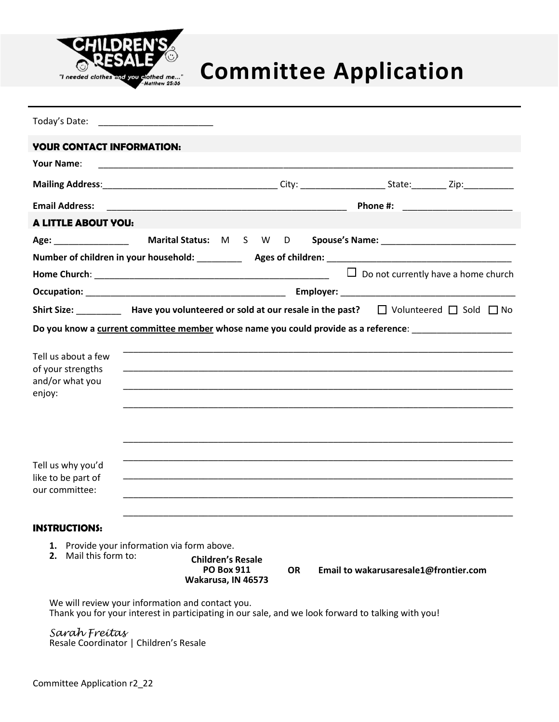

# Thereded clothes and you glothed me...<sup>7</sup><br>Thereded clothes and you glothed me...<sup>7</sup>

| Today's Date: The Contract of the Contract of the Contract of the Contract of the Contract of the Contract of the Contract of the Contract of the Contract of the Contract of the Contract of the Contract of the Contract of |                                                                                                              |                          |  |  |  |  |  |  |
|-------------------------------------------------------------------------------------------------------------------------------------------------------------------------------------------------------------------------------|--------------------------------------------------------------------------------------------------------------|--------------------------|--|--|--|--|--|--|
| <b>YOUR CONTACT INFORMATION:</b>                                                                                                                                                                                              |                                                                                                              |                          |  |  |  |  |  |  |
| Your Name:                                                                                                                                                                                                                    | <u> 1989 - Johann Stoff, amerikansk politiker (d. 1989)</u>                                                  |                          |  |  |  |  |  |  |
|                                                                                                                                                                                                                               |                                                                                                              |                          |  |  |  |  |  |  |
| <b>Email Address:</b>                                                                                                                                                                                                         |                                                                                                              |                          |  |  |  |  |  |  |
| <b>A LITTLE ABOUT YOU:</b>                                                                                                                                                                                                    |                                                                                                              |                          |  |  |  |  |  |  |
|                                                                                                                                                                                                                               |                                                                                                              |                          |  |  |  |  |  |  |
|                                                                                                                                                                                                                               |                                                                                                              |                          |  |  |  |  |  |  |
|                                                                                                                                                                                                                               |                                                                                                              |                          |  |  |  |  |  |  |
|                                                                                                                                                                                                                               |                                                                                                              |                          |  |  |  |  |  |  |
|                                                                                                                                                                                                                               | Shirt Size: Have you volunteered or sold at our resale in the past? $\Box$ Volunteered $\Box$ Sold $\Box$ No |                          |  |  |  |  |  |  |
|                                                                                                                                                                                                                               | Do you know a current committee member whose name you could provide as a reference: ______________________   |                          |  |  |  |  |  |  |
| Tell us about a few<br>of your strengths<br>and/or what you<br>enjoy:                                                                                                                                                         |                                                                                                              |                          |  |  |  |  |  |  |
| Tell us why you'd<br>like to be part of<br>our committee:                                                                                                                                                                     |                                                                                                              |                          |  |  |  |  |  |  |
| <b>INSTRUCTIONS:</b>                                                                                                                                                                                                          |                                                                                                              |                          |  |  |  |  |  |  |
| 2. Mail this form to:                                                                                                                                                                                                         | 1. Provide your information via form above.                                                                  | <b>Children's Resale</b> |  |  |  |  |  |  |

**PO Box 911 Wakarusa, IN 46573**

**OR Email to wakarusaresale1@frontier.com**

We will review your information and contact you. Thank you for your interest in participating in our sale, and we look forward to talking with you!

*Sarah Freitas* Resale Coordinator | Children's Resale